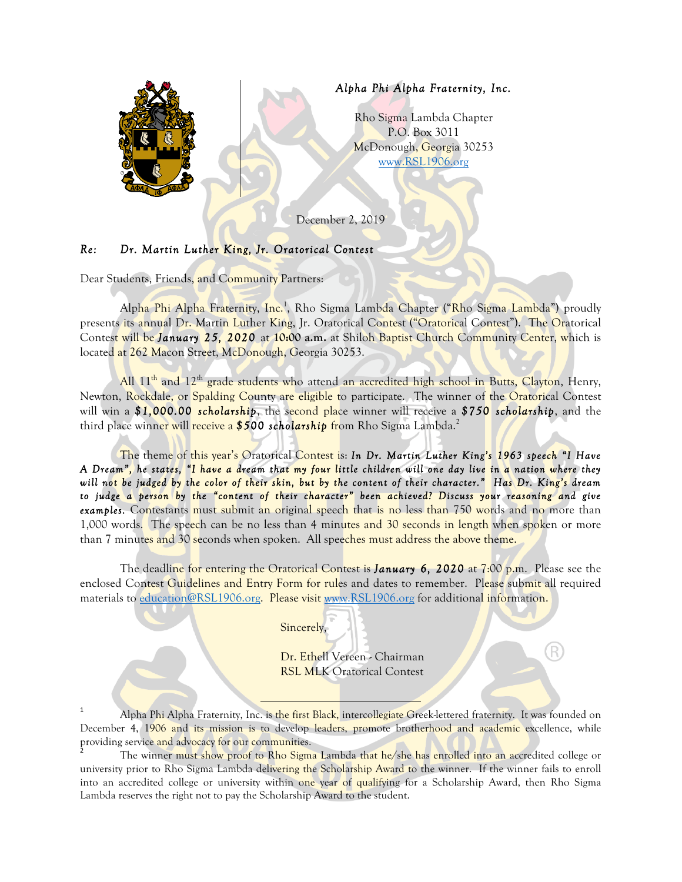

## *Re: Dr. Martin Luther King, Jr. Oratorical Contest*

Dear Students, Friends, and Community Partners:

Alpha Phi Alpha Fraternity, Inc.<sup>1</sup>, Rho Sigma Lambda Chapter ("Rho Sigma Lambda") proudly presents its annual Dr. Martin Luther King, Jr. Oratorical Contest ("Oratorical Contest"). The Oratorical Contest will be *January 25, 2020* at **10:00 a.m.** at Shiloh Baptist Church Community Center, which is located at 262 Macon Street, McDonough, Georgia 30253.

All 11<sup>th</sup> and 12<sup>th</sup> grade students who attend an accredited high school in Butts, Clayton, Henry, Newton, Rockdale, or Spalding County are eligible to participate. The winner of the Oratorical Contest will win a *\$1,000.00 scholarship*, the second place winner will receive a *\$750 scholarship*, and the third place winner will receive a *\$500 scholarship* from Rho Sigma Lambda. 2

The theme of this year's Oratorical Contest is: *In Dr. Martin Luther King's 1963 speech "I Have A Dream", he states, "I have a dream that my four little children will one day live in a nation where they will not be judged by the color of their skin, but by the content of their character." Has Dr. King's dream to judge a person by the "content of their character" been achieved? Discuss your reasoning and give examples.* Contestants must submit an original speech that is no less than 750 words and no more than 1,000 words. The speech can be no less than 4 minutes and 30 seconds in length when spoken or more than 7 minutes and 30 seconds when spoken. All speeches must address the above theme.

The deadline for entering the Oratorical Contest is *January 6, 2020* at 7:00 p.m. Please see the enclosed Contest Guidelines and Entry Form for rules and dates to remember. Please submit all required materials to [education@RSL1906.org.](mailto:education@RSL1906.org) Please visit [www.RSL1906.org](http://www.RSL1906.org) for additional information.

Sincerely,

Dr. Ethell Vereen - Chairman **RSL MLK Oratorical Contest** 

R

<sup>1</sup> Alpha Phi Alpha Fraternity, Inc. is the first Black, intercollegiate Greek-lettered fraternity. It was founded on December 4, 1906 and its mission is to develop leaders, promote brotherhood and academic excellence, while providing service and advocacy for our communities.

 

The winner must show proof to Rho Sigma Lambda that he/she has enrolled into an accredited college or university prior to Rho Sigma Lambda delivering the Scholarship Award to the winner. If the winner fails to enroll into an accredited college or university within one year of qualifying for a Scholarship Award, then Rho Sigma Lambda reserves the right not to pay the Scholarship Award to the student.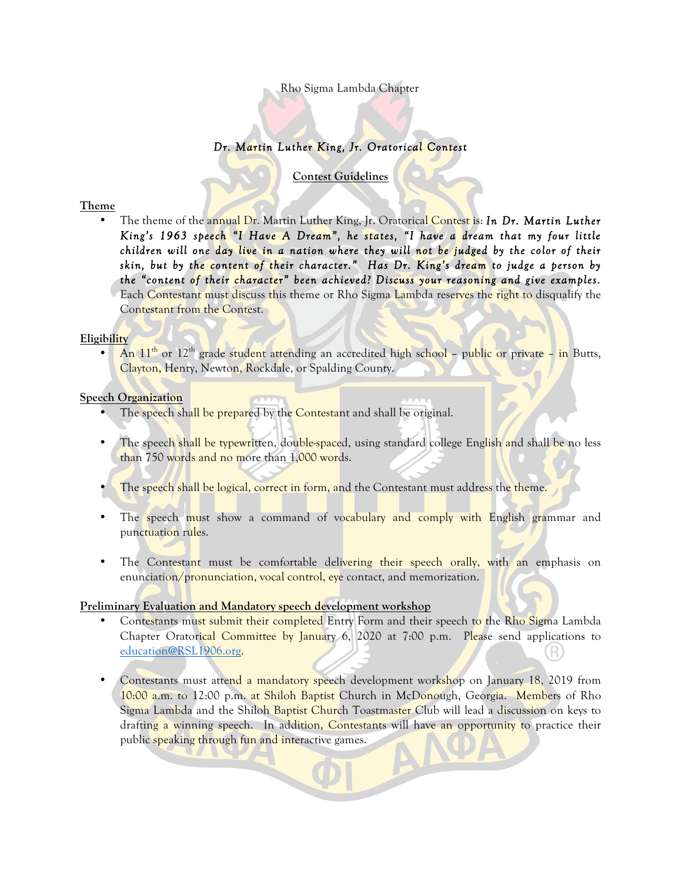## Rho Sigma Lambda Chapter

# *Dr. Martin Luther King, Jr. Oratorical Contest*

**Contest Guidelines**

#### **Theme**

• The theme of the annual Dr. Martin Luther King, Jr. Oratorical Contest is: *In Dr. Martin Luther King's 1963 speech "I Have A Dream", he states, "I have a dream that my four little children will one day live in a nation where they will not be judged by the color of their skin, but by the content of their character." Has Dr. King's dream to judge a person by the "content of their character" been achieved? Discuss your reasoning and give examples.* Each Contestant must discuss this theme or Rho Sigma Lambda reserves the right to disqualify the Contestant from the Contest.

#### **Eligibility**

• An  $11<sup>th</sup>$  or  $12<sup>th</sup>$  grade student attending an accredited high school – public or private – in Butts, Clayton, Henry, Newton, Rockdale, or Spalding County.

#### **Speech Organization**

- The speech shall be prepared by the Contestant and shall be original.
- The speech shall be typewritten, double-spaced, using standard college English and shall be no less than 750 words and no more than 1,000 words.
- The speech shall be logical, correct in form, and the Contestant must address the theme.
- The speech must show a command of vocabulary and comply with English grammar and punctuation rules.
- The Contestant must be comfortable delivering their speech orally, with an emphasis on enunciation/pronunciation, vocal control, eye contact, and memorization.

# **Preliminary Evaluation and Mandatory speech development workshop**

- Contestants must submit their completed Entry Form and their speech to the Rho Sigma Lambda Chapter Oratorical Committee by January 6, 2020 at 7:00 p.m. Please send applications to [education@RSL1906.org](mailto:education@RSL1906.org).
- Contestants must attend a mandatory speech development workshop on January 18, 2019 from 10:00 a.m. to 12:00 p.m. at Shiloh Baptist Church in McDonough, Georgia. Members of Rho Sigma Lambda and the Shiloh Baptist Church Toastmaster Club will lead a discussion on keys to drafting a winning speech. In addition, Contestants will have an opportunity to practice their public speaking through fun and interactive games.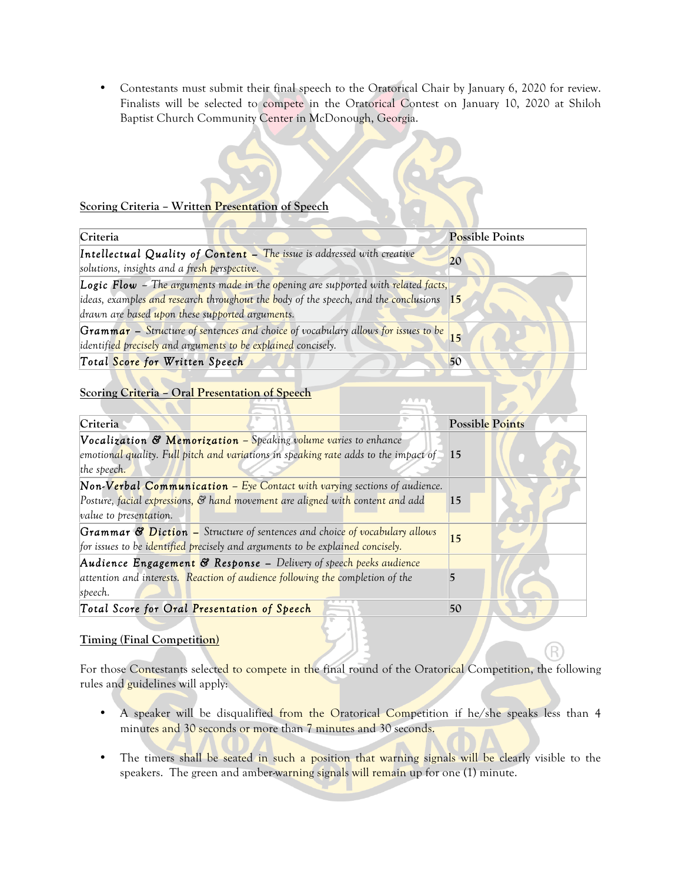• Contestants must submit their final speech to the Oratorical Chair by January 6, 2020 for review. Finalists will be selected to compete in the Oratorical Contest on January 10, 2020 at Shiloh Baptist Church Community Center in McDonough, Georgia.

#### **Scoring Criteria – Written Presentation of Speech**

| Criteria                                                                                          | Possible Points |
|---------------------------------------------------------------------------------------------------|-----------------|
| Intellectual Quality of Content - The issue is addressed with creative                            |                 |
| solutions, insights and a fresh perspective.                                                      |                 |
| <b>Logic Flow</b> – The arguments made in the opening are supported with related facts,           |                 |
| ideas, examples and research throughout the body of the speech, and the conclusions 15            |                 |
| drawn are based upon these supported arguments.                                                   |                 |
| Grammar – Structure of sentences and choice of vocabulary allows for issues to be $\frac{15}{15}$ |                 |
| identified precisely and arguments to be explained concisely.                                     |                 |
| Total Score for Written Speech                                                                    | 50              |

## **Scoring Criteria – Oral Presentation of Speech**

| Criteria                                                                            | <b>Possible Points</b> |
|-------------------------------------------------------------------------------------|------------------------|
| Vocalization & Memorization - Speaking volume varies to enhance                     |                        |
| emotional quality. Full pitch and variations in speaking rate adds to the impact of | 15                     |
| the speech.                                                                         |                        |
| Non-Verbal Communication - Eye Contact with varying sections of audience.           |                        |
| Posture, facial expressions, & hand movement are aligned with content and add       | 15                     |
| <i>value</i> to presentation.                                                       |                        |
| Grammar & Diction - Structure of sentences and choice of vocabulary allows          | 15                     |
| for issues to be identified precisely and arguments to be explained concisely.      |                        |
| Audience Engagement & Response - Delivery of speech peeks audience                  |                        |
| attention and interests. Reaction of audience following the completion of the       |                        |
| speech.                                                                             |                        |
| Total Score for Oral Presentation of Speech                                         | 50                     |

# **Timing (Final Competition)**

For those Contestants selected to compete in the final round of the Oratorical Competition, the following rules and guidelines will apply:

- A speaker will be disqualified from the Oratorical Competition if he/she speaks less than 4 minutes and 30 seconds or more than 7 minutes and 30 seconds.
- The timers shall be seated in such a position that warning signals will be clearly visible to the speakers. The green and amber-warning signals will remain up for one (1) minute.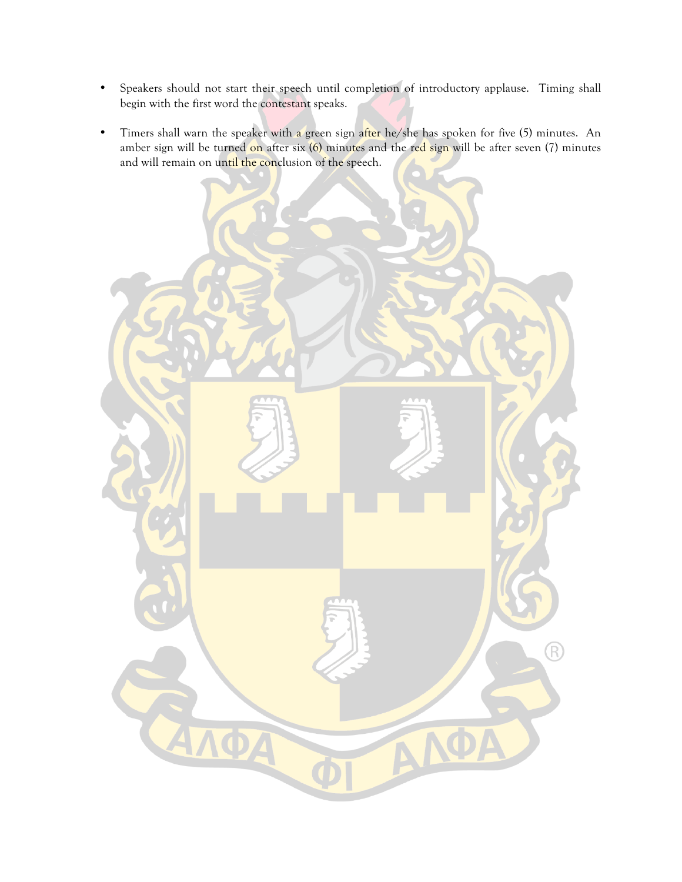- Speakers should not start their speech until completion of introductory applause. Timing shall begin with the first word the contestant speaks.
- Timers shall warn the speaker with a green sign after he/she has spoken for five (5) minutes. An amber sign will be turned on after six (6) minutes and the red sign will be after seven (7) minutes and will remain on until the conclusion of the speech.

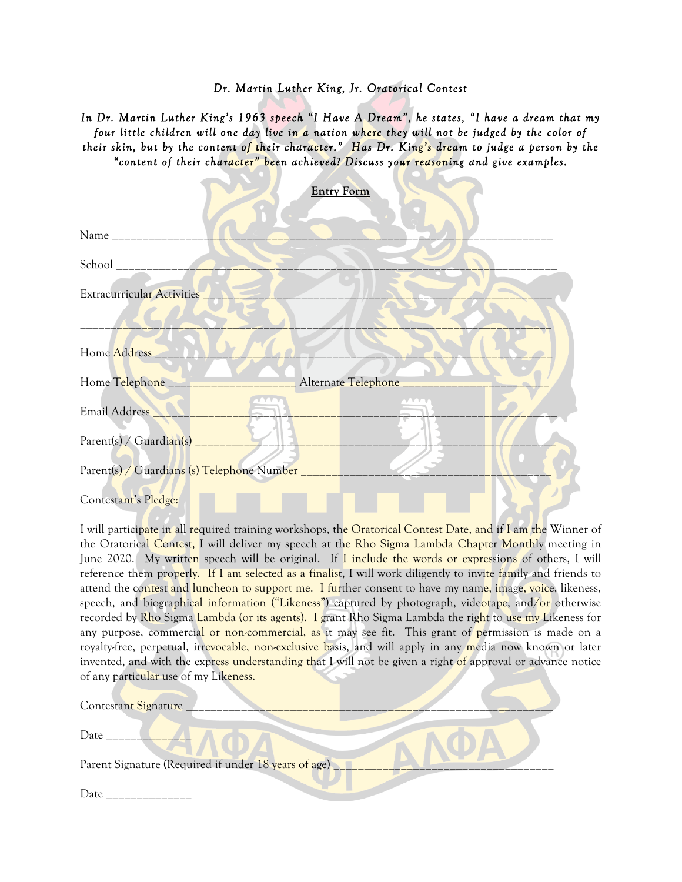#### *Dr. Martin Luther King, Jr. Oratorical Contest*

*In Dr. Martin Luther King's 1963 speech "I Have A Dream", he states, "I have a dream that my four little children will one day live in a nation where they will not be judged by the color of their skin, but by the content of their character." Has Dr. King's dream to judge a person by the "content of their character" been achieved? Discuss your reasoning and give examples.*

|                                                | <b>Entry Form</b>            |
|------------------------------------------------|------------------------------|
|                                                |                              |
|                                                |                              |
| Extracurricular Activities                     |                              |
| Home Address                                   |                              |
| Home Telephone __________                      | Alternate Telephone ________ |
| Email Address                                  |                              |
|                                                |                              |
| Parent(s) / Guardians (s) Telephone Number ___ |                              |
| Contestant's Pledge:                           |                              |

I will participate in all required training workshops, the Oratorical Contest Date, and if I am the Winner of the Oratorical Contest, I will deliver my speech at the Rho Sigma Lambda Chapter Monthly meeting in June 2020. My written speech will be original. If I include the words or expressions of others, I will reference them properly. If I am selected as a finalist, I will work diligently to invite family and friends to attend the contest and luncheon to support me. I further consent to have my name, image, voice, likeness, speech, and biographical information ("Likeness") captured by photograph, videotape, and/or otherwise recorded by Rho Sigma Lambda (or its agents). I grant Rho Sigma Lambda the right to use my Likeness for any purpose, commercial or non-commercial, as it may see fit. This grant of permission is made on a royalty-free, perpetual, irrevocable, non-exclusive basis, and will apply in any media now known or later invented, and with the express understanding that I will not be given a right of approval or advance notice of any particular use of my Likeness.

| Contestant Signature                                 |  |
|------------------------------------------------------|--|
| Date                                                 |  |
| Parent Signature (Required if under 18 years of age) |  |
| Date                                                 |  |